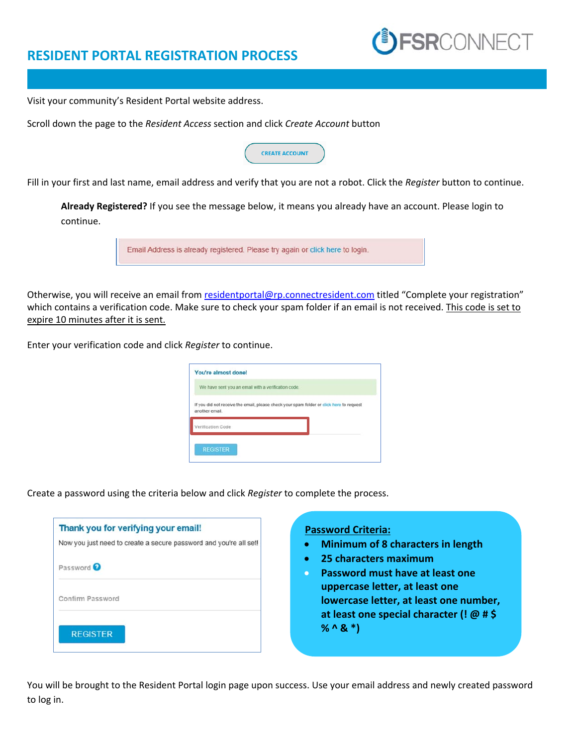## **RESIDENT PORTAL REGISTRATION PROCESS**

Visit your community's Resident Portal website address.

Scroll down the page to the *Resident Access* section and click *Create Account* button

| <b>CREATE ACCOUNT</b> |  |
|-----------------------|--|
|                       |  |

Fill in your first and last name, email address and verify that you are not a robot. Click the *Register* button to continue.

**Already Registered?** If you see the message below, it means you already have an account. Please login to continue.



Otherwise, you will receive an email from residentportal@rp.connectresident.com titled "Complete your registration" which contains a verification code. Make sure to check your spam folder if an email is not received. This code is set to expire 10 minutes after it is sent.

Enter your verification code and click *Register* to continue.

| You're almost done!                                 |                                                                                          |
|-----------------------------------------------------|------------------------------------------------------------------------------------------|
| We have sent you an email with a verification code. |                                                                                          |
| another email.                                      | If you did not receive the email, please check your spam folder or click here to request |
| Verification Code                                   |                                                                                          |
| <b>REGISTER</b>                                     |                                                                                          |
|                                                     |                                                                                          |

Create a password using the criteria below and click *Register* to complete the process.

| Thank you for verifying your email!<br>Now you just need to create a secure password and you're all set! |  |
|----------------------------------------------------------------------------------------------------------|--|
| Password <sup>Q</sup>                                                                                    |  |
| Confirm Password                                                                                         |  |
| <b>REGISTER</b>                                                                                          |  |

## **Password Criteria:**

**Minimum of 8 characters in length** 

**JFSR**CONNECT

- **25 characters maximum**
- **Password must have at least one uppercase letter, at least one lowercase letter, at least one number, at least one special character (! @ # \$ % ^ & \*)**

You will be brought to the Resident Portal login page upon success. Use your email address and newly created password to log in.